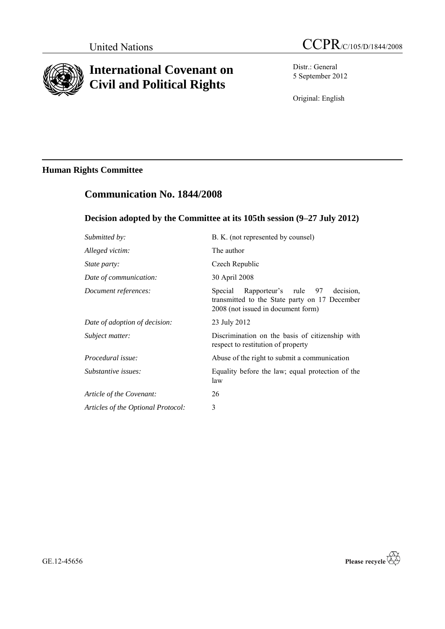

# **International Covenant on Civil and Political Rights**

Distr.: General 5 September 2012

Original: English

## **Human Rights Committee**

## **Communication No. 1844/2008**

## **Decision adopted by the Committee at its 105th session (9–27 July 2012)**

| Submitted by:                      | B. K. (not represented by counsel)                                                                                                  |
|------------------------------------|-------------------------------------------------------------------------------------------------------------------------------------|
| Alleged victim:                    | The author                                                                                                                          |
| <i>State party:</i>                | Czech Republic                                                                                                                      |
| Date of communication:             | 30 April 2008                                                                                                                       |
| Document references:               | Rapporteur's rule 97<br>decision.<br>Special<br>transmitted to the State party on 17 December<br>2008 (not issued in document form) |
| Date of adoption of decision:      | 23 July 2012                                                                                                                        |
| Subject matter:                    | Discrimination on the basis of citizenship with<br>respect to restitution of property                                               |
| Procedural issue:                  | Abuse of the right to submit a communication                                                                                        |
| Substantive issues:                | Equality before the law; equal protection of the<br>law                                                                             |
| Article of the Covenant:           | 26                                                                                                                                  |
| Articles of the Optional Protocol: | 3                                                                                                                                   |
|                                    |                                                                                                                                     |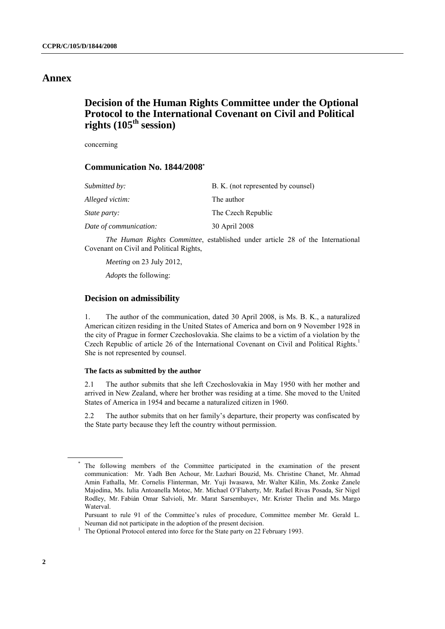### **Annex**

## **Decision of the Human Rights Committee under the Optional Protocol to the International Covenant on Civil and Political rights (105th session)**

concerning

### **Communication No. 1844/2008 \***

| Submitted by:          | B. K. (not represented by counsel) |
|------------------------|------------------------------------|
| Alleged victim:        | The author                         |
| <i>State party:</i>    | The Czech Republic                 |
| Date of communication: | 30 April 2008                      |

*The Human Rights Committee*, established under article 28 of the International Covenant on Civil and Political Rights,

*Meeting* on 23 July 2012,

*Adopts* the following:

#### **Decision on admissibility**

1. The author of the communication, dated 30 April 2008, is Ms. B. K., a naturalized American citizen residing in the United States of America and born on 9 November 1928 in the city of Prague in former Czechoslovakia. She claims to be a victim of a violation by the Czech Republic of article 26 of the International Covenant on Civil and Political Rights.<sup>1</sup> She is not represented by counsel.

#### **The facts as submitted by the author**

2.1 The author submits that she left Czechoslovakia in May 1950 with her mother and arrived in New Zealand, where her brother was residing at a time. She moved to the United States of America in 1954 and became a naturalized citizen in 1960.

2.2 The author submits that on her family's departure, their property was confiscated by the State party because they left the country without permission.

The following members of the Committee participated in the examination of the present communication: Mr. Yadh Ben Achour, Mr. Lazhari Bouzid, Ms. Christine Chanet, Mr. Ahmad Amin Fathalla, Mr. Cornelis Flinterman, Mr. Yuji Iwasawa, Mr. Walter Kälin, Ms. Zonke Zanele Majodina, Ms. Iulia Antoanella Motoc, Mr. Michael O'Flaherty, Mr. Rafael Rivas Posada, Sir Nigel Rodley, Mr. Fabián Omar Salvioli, Mr. Marat Sarsembayev, Mr. Krister Thelin and Ms. Margo Waterval.

Pursuant to rule 91 of the Committee's rules of procedure, Committee member Mr. Gerald L. Neuman did not participate in the adoption of the present decision.

<sup>&</sup>lt;sup>1</sup> The Optional Protocol entered into force for the State party on 22 February 1993.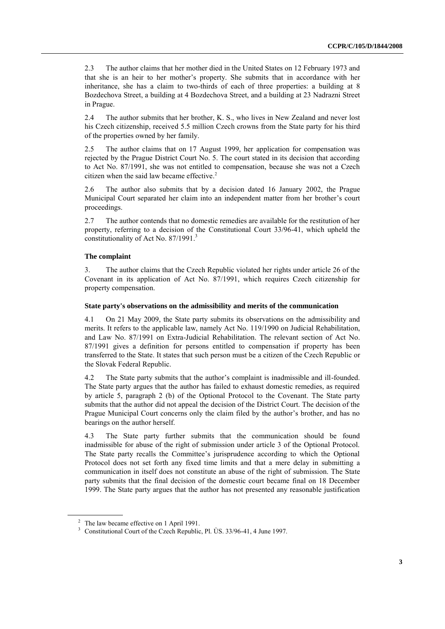2.3 The author claims that her mother died in the United States on 12 February 1973 and that she is an heir to her mother's property. She submits that in accordance with her inheritance, she has a claim to two-thirds of each of three properties: a building at 8 Bozdechova Street, a building at 4 Bozdechova Street, and a building at 23 Nadrazni Street in Prague.

2.4 The author submits that her brother, K. S., who lives in New Zealand and never lost his Czech citizenship, received 5.5 million Czech crowns from the State party for his third of the properties owned by her family.

2.5 The author claims that on 17 August 1999, her application for compensation was rejected by the Prague District Court No. 5. The court stated in its decision that according to Act No. 87/1991, she was not entitled to compensation, because she was not a Czech citizen when the said law became effective. 2

2.6 The author also submits that by a decision dated 16 January 2002, the Prague Municipal Court separated her claim into an independent matter from her brother's court proceedings.

2.7 The author contends that no domestic remedies are available for the restitution of her property, referring to a decision of the Constitutional Court 33/96-41, which upheld the constitutionality of Act No. 87/1991. 3

#### **The complaint**

3. The author claims that the Czech Republic violated her rights under article 26 of the Covenant in its application of Act No. 87/1991, which requires Czech citizenship for property compensation.

#### **State party's observations on the admissibility and merits of the communication**

4.1 On 21 May 2009, the State party submits its observations on the admissibility and merits. It refers to the applicable law, namely Act No. 119/1990 on Judicial Rehabilitation, and Law No. 87/1991 on Extra-Judicial Rehabilitation. The relevant section of Act No. 87/1991 gives a definition for persons entitled to compensation if property has been transferred to the State. It states that such person must be a citizen of the Czech Republic or the Slovak Federal Republic.

4.2 The State party submits that the author's complaint is inadmissible and ill-founded. The State party argues that the author has failed to exhaust domestic remedies, as required by article 5, paragraph 2 (b) of the Optional Protocol to the Covenant. The State party submits that the author did not appeal the decision of the District Court. The decision of the Prague Municipal Court concerns only the claim filed by the author's brother, and has no bearings on the author herself.

4.3 The State party further submits that the communication should be found inadmissible for abuse of the right of submission under article 3 of the Optional Protocol. The State party recalls the Committee's jurisprudence according to which the Optional Protocol does not set forth any fixed time limits and that a mere delay in submitting a communication in itself does not constitute an abuse of the right of submission. The State party submits that the final decision of the domestic court became final on 18 December 1999. The State party argues that the author has not presented any reasonable justification

<sup>&</sup>lt;sup>2</sup> The law became effective on 1 April 1991.

<sup>&</sup>lt;sup>3</sup> Constitutional Court of the Czech Republic, Pl. ÙS. 33/96-41, 4 June 1997.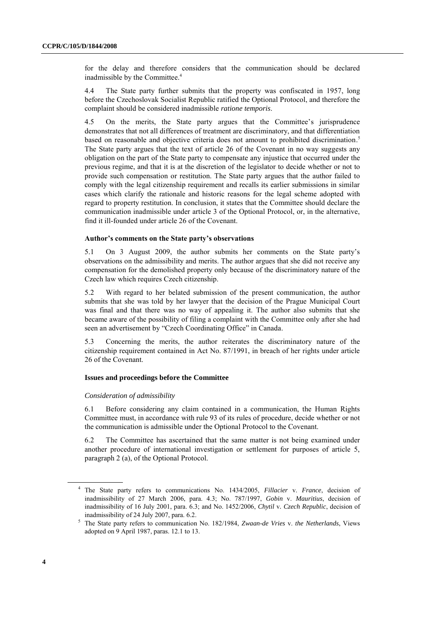for the delay and therefore considers that the communication should be declared inadmissible by the Committee. 4

4.4 The State party further submits that the property was confiscated in 1957, long before the Czechoslovak Socialist Republic ratified the Optional Protocol, and therefore the complaint should be considered inadmissible *ratione temporis*.

4.5 On the merits, the State party argues that the Committee's jurisprudence demonstrates that not all differences of treatment are discriminatory, and that differentiation based on reasonable and objective criteria does not amount to prohibited discrimination.<sup>5</sup> The State party argues that the text of article 26 of the Covenant in no way suggests any obligation on the part of the State party to compensate any injustice that occurred under the previous regime, and that it is at the discretion of the legislator to decide whether or not to provide such compensation or restitution. The State party argues that the author failed to comply with the legal citizenship requirement and recalls its earlier submissions in similar cases which clarify the rationale and historic reasons for the legal scheme adopted with regard to property restitution. In conclusion, it states that the Committee should declare the communication inadmissible under article 3 of the Optional Protocol, or, in the alternative, find it ill-founded under article 26 of the Covenant.

#### **Author's comments on the State party's observations**

5.1 On 3 August 2009, the author submits her comments on the State party's observations on the admissibility and merits. The author argues that she did not receive any compensation for the demolished property only because of the discriminatory nature of the Czech law which requires Czech citizenship.

5.2 With regard to her belated submission of the present communication, the author submits that she was told by her lawyer that the decision of the Prague Municipal Court was final and that there was no way of appealing it. The author also submits that she became aware of the possibility of filing a complaint with the Committee only after she had seen an advertisement by "Czech Coordinating Office" in Canada.

5.3 Concerning the merits, the author reiterates the discriminatory nature of the citizenship requirement contained in Act No. 87/1991, in breach of her rights under article 26 of the Covenant.

#### **Issues and proceedings before the Committee**

#### *Consideration of admissibility*

6.1 Before considering any claim contained in a communication, the Human Rights Committee must, in accordance with rule 93 of its rules of procedure, decide whether or not the communication is admissible under the Optional Protocol to the Covenant.

6.2 The Committee has ascertained that the same matter is not being examined under another procedure of international investigation or settlement for purposes of article 5, paragraph 2 (a), of the Optional Protocol.

<sup>4</sup> The State party refers to communications No. 1434/2005, *Fillacier* v. *France*, decision of inadmissibility of 27 March 2006, para. 4.3; No. 787/1997, *Gobin* v. *Mauritius*, decision of inadmissibility of 16 July 2001, para. 6.3; and No. 1452/2006, *Chytil* v*. Czech Republic*, decision of inadmissibility of 24 July 2007, para. 6.2.

<sup>5</sup> The State party refers to communication No. 182/1984, *Zwaan-de Vries* v. *the Netherlands*, Views adopted on 9 April 1987, paras. 12.1 to 13.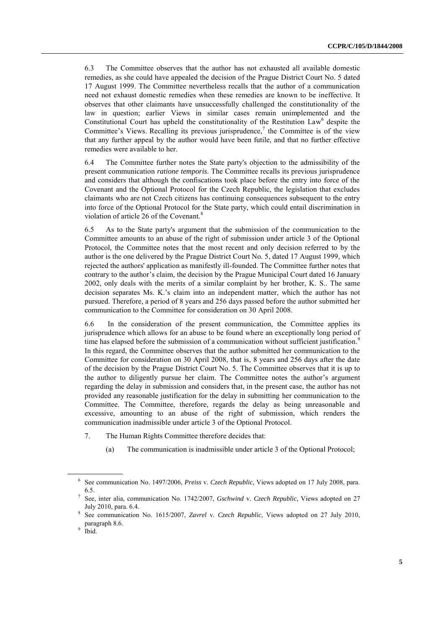6.3 The Committee observes that the author has not exhausted all available domestic remedies, as she could have appealed the decision of the Prague District Court No. 5 dated 17 August 1999. The Committee nevertheless recalls that the author of a communication need not exhaust domestic remedies when these remedies are known to be ineffective. It observes that other claimants have unsuccessfully challenged the constitutionality of the law in question; earlier Views in similar cases remain unimplemented and the Constitutional Court has upheld the constitutionality of the Restitution Law<sup>6</sup> despite the Committee's Views. Recalling its previous jurisprudence, $\lambda$  the Committee is of the view that any further appeal by the author would have been futile, and that no further effective remedies were available to her.

6.4 The Committee further notes the State party's objection to the admissibility of the present communication *ratione temporis*. The Committee recalls its previous jurisprudence and considers that although the confiscations took place before the entry into force of the Covenant and the Optional Protocol for the Czech Republic, the legislation that excludes claimants who are not Czech citizens has continuing consequences subsequent to the entry into force of the Optional Protocol for the State party, which could entail discrimination in violation of article 26 of the Covenant.<sup>8</sup>

6.5 As to the State party's argument that the submission of the communication to the Committee amounts to an abuse of the right of submission under article 3 of the Optional Protocol, the Committee notes that the most recent and only decision referred to by the author is the one delivered by the Prague District Court No. 5, dated 17 August 1999, which rejected the authors' application as manifestly ill-founded. The Committee further notes that contrary to the author's claim, the decision by the Prague Municipal Court dated 16 January 2002, only deals with the merits of a similar complaint by her brother, K. S.. The same decision separates Ms. K.'s claim into an independent matter, which the author has not pursued. Therefore, a period of 8 years and 256 days passed before the author submitted her communication to the Committee for consideration on 30 April 2008.

6.6 In the consideration of the present communication, the Committee applies its jurisprudence which allows for an abuse to be found where an exceptionally long period of time has elapsed before the submission of a communication without sufficient justification.<sup>9</sup> In this regard, the Committee observes that the author submitted her communication to the Committee for consideration on 30 April 2008, that is, 8 years and 256 days after the date of the decision by the Prague District Court No. 5. The Committee observes that it is up to the author to diligently pursue her claim. The Committee notes the author's argument regarding the delay in submission and considers that, in the present case, the author has not provided any reasonable justification for the delay in submitting her communication to the Committee. The Committee, therefore, regards the delay as being unreasonable and excessive, amounting to an abuse of the right of submission, which renders the communication inadmissible under article 3 of the Optional Protocol.

- 7. The Human Rights Committee therefore decides that:
	- (a) The communication is inadmissible under article 3 of the Optional Protocol;

<sup>6</sup> See communication No. 1497/2006, *Preiss* v. *Czech Republic*, Views adopted on 17 July 2008, para. 6.5.

<sup>7</sup> See, inter alia, communication No. 1742/2007, *Gschwind* v. *Czech Republic*, Views adopted on 27 July 2010, para. 6.4.

<sup>8</sup> See communication No. 1615/2007, *Zavrel* v. *Czech Republic,* Views adopted on 27 July 2010, paragraph 8.6.

<sup>&</sup>lt;sup>9</sup> Ibid.